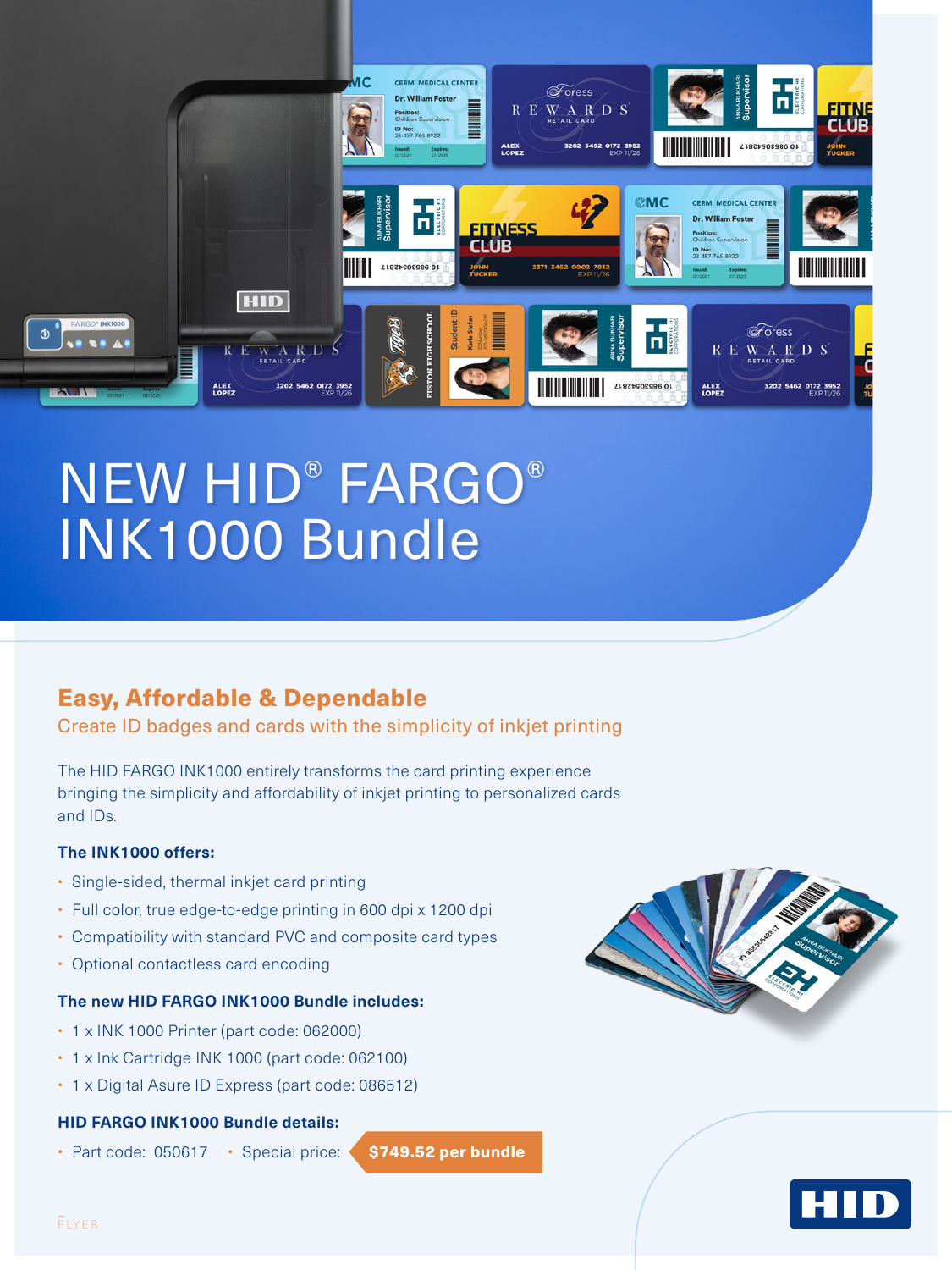

# NEW HID® FARGO® INK1000 Bundle

## Easy, Affordable & Dependable

Create ID badges and cards with the simplicity of inkjet printing

The HID FARGO INK1000 entirely transforms the card printing experience bringing the simplicity and affordability of inkjet printing to personalized cards and IDs.

#### **The INK1000 offers:**

- Single-sided, thermal inkjet card printing
- Full color, true edge-to-edge printing in 600 dpi x 1200 dpi
- Compatibility with standard PVC and composite card types
- Optional contactless card encoding

#### **The new HID FARGO INK1000 Bundle includes:**

- 1 x INK 1000 Printer (part code: 062000)
- 1 x Ink Cartridge INK 1000 (part code: 062100)
- 1 x Digital Asure ID Express (part code: 086512)

#### **HID FARGO INK1000 Bundle details:**

• Part code: 050617 • Special price:  $\big\langle$  \$749.52 per bundle